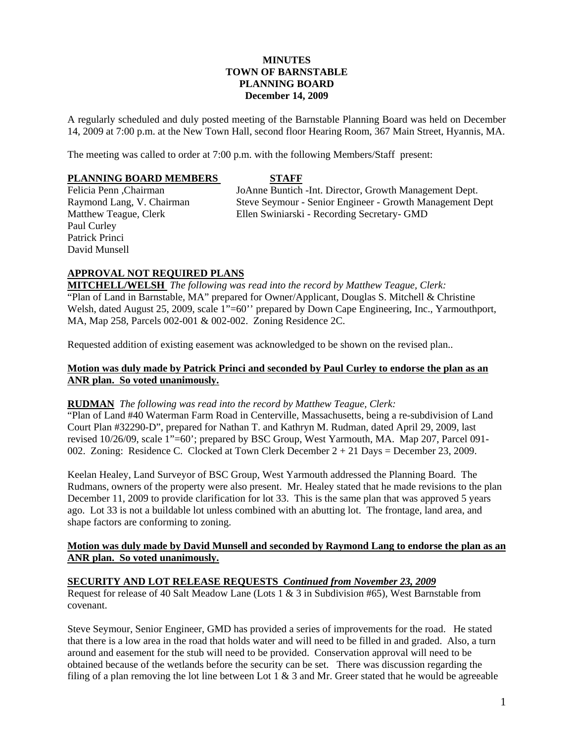### **MINUTES TOWN OF BARNSTABLE PLANNING BOARD December 14, 2009**

A regularly scheduled and duly posted meeting of the Barnstable Planning Board was held on December 14, 2009 at 7:00 p.m. at the New Town Hall, second floor Hearing Room, 367 Main Street, Hyannis, MA.

The meeting was called to order at 7:00 p.m. with the following Members/Staff present:

#### **PLANNING BOARD MEMBERS STAFF**

Paul Curley Patrick Princi David Munsell

Felicia Penn ,Chairman JoAnne Buntich -Int. Director, Growth Management Dept. Raymond Lang, V. Chairman Steve Seymour - Senior Engineer - Growth Management Dept Matthew Teague, Clerk Ellen Swiniarski - Recording Secretary- GMD

## **APPROVAL NOT REQUIRED PLANS**

**MITCHELL/WELSH** *The following was read into the record by Matthew Teague, Clerk:*  "Plan of Land in Barnstable, MA" prepared for Owner/Applicant, Douglas S. Mitchell & Christine Welsh, dated August 25, 2009, scale 1"=60" prepared by Down Cape Engineering, Inc., Yarmouthport, MA, Map 258, Parcels 002-001 & 002-002. Zoning Residence 2C.

Requested addition of existing easement was acknowledged to be shown on the revised plan..

## **Motion was duly made by Patrick Princi and seconded by Paul Curley to endorse the plan as an ANR plan. So voted unanimously.**

### **RUDMAN** *The following was read into the record by Matthew Teague, Clerk:*

"Plan of Land #40 Waterman Farm Road in Centerville, Massachusetts, being a re-subdivision of Land Court Plan #32290-D", prepared for Nathan T. and Kathryn M. Rudman, dated April 29, 2009, last revised 10/26/09, scale 1"=60'; prepared by BSC Group, West Yarmouth, MA. Map 207, Parcel 091- 002. Zoning: Residence C. Clocked at Town Clerk December 2 + 21 Days = December 23, 2009.

Keelan Healey, Land Surveyor of BSC Group, West Yarmouth addressed the Planning Board. The Rudmans, owners of the property were also present. Mr. Healey stated that he made revisions to the plan December 11, 2009 to provide clarification for lot 33. This is the same plan that was approved 5 years ago. Lot 33 is not a buildable lot unless combined with an abutting lot. The frontage, land area, and shape factors are conforming to zoning.

### **Motion was duly made by David Munsell and seconded by Raymond Lang to endorse the plan as an ANR plan. So voted unanimously.**

### **SECURITY AND LOT RELEASE REQUESTS** *Continued from November 23, 2009*

Request for release of 40 Salt Meadow Lane (Lots 1 & 3 in Subdivision #65), West Barnstable from covenant.

Steve Seymour, Senior Engineer, GMD has provided a series of improvements for the road. He stated that there is a low area in the road that holds water and will need to be filled in and graded. Also, a turn around and easement for the stub will need to be provided. Conservation approval will need to be obtained because of the wetlands before the security can be set. There was discussion regarding the filing of a plan removing the lot line between Lot 1  $\&$  3 and Mr. Greer stated that he would be agreeable